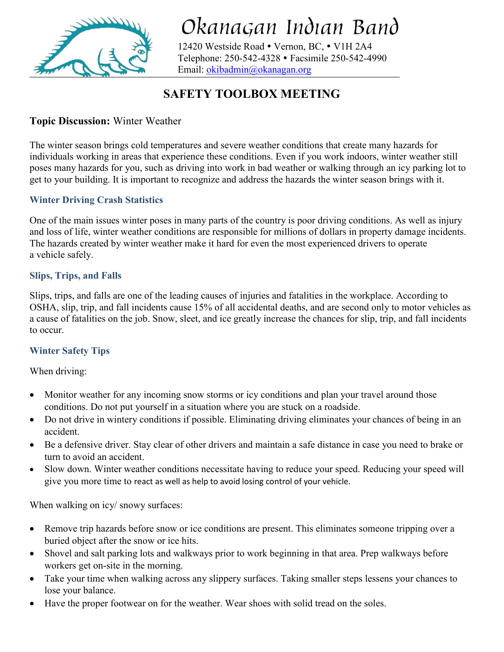

# Okanagan Indian Band

12420 Westside Road · Vernon, BC, · V1H 2A4 Telephone: 250-542-4328 Facsimile 250-542-4990 Email: [okibadmin@okanagan.org](mailto:okibadmin@okanagan.org)

## **SAFETY TOOLBOX MEETING**

#### **Topic Discussion:** Winter Weather

The winter season brings [cold temperatures](https://www.safetytalkideas.com/safetytalks/wind-chill-index/) and severe weather conditions that create many hazards for individuals working in areas that experience these conditions. Even if you work indoors, winter weather still poses many hazards for you, such as [driving into work in bad weather](https://www.safetytalkideas.com/safetytalks/winter-weather-driving/) or walking through an icy parking lot to get to your building. It is important to recognize and address the hazards the winter season brings with it.

#### **Winter Driving Crash Statistics**

One of the main issues winter poses in many parts of the country is poor driving conditions. As well as injury and loss of life, winter weather conditions are responsible for millions of dollars in property damage incidents. The hazards created by winter weather make it hard for even the most experienced drivers to operate a [vehicle](https://www.safetytalkideas.com/safety-talks/motor-vehicle-safety/) safely.

#### **Slips, Trips, and Falls**

Slips, trips, and falls are one of the leading causes of injuries and fatalities in the workplace. According to OSHA, slip, trip, and fall incidents cause 15% of all accidental deaths, and are second only to motor vehicles as a cause of fatalities on the job. Snow, sleet, and ice greatly increase the chances for slip, trip, and fall incidents to occur.

#### **Winter Safety Tips**

When driving:

- Monitor weather for any incoming snow storms or icy conditions and plan your travel around those conditions. Do not put yourself in a situation where you are stuck on a roadside.
- Do not drive in wintery conditions if possible. Eliminating driving eliminates your chances of being in an accident.
- Be a defensive driver. Stay clear of other drivers and maintain a safe distance in case you need to brake or turn to avoid an accident.
- Slow down. Winter weather conditions necessitate having to reduce your speed. Reducing your speed will give you more time to react as well as help to avoid losing control of your vehicle.

When walking on icy/ snowy surfaces:

- Remove trip hazards before snow or ice conditions are present. This eliminates someone tripping over a buried object after the snow or ice hits.
- Shovel and salt parking lots and walkways prior to work beginning in that area. Prep walkways before workers get on-site in the morning.
- Take your time when walking across any slippery surfaces. Taking smaller steps lessens your chances to lose your balance.
- Have the proper footwear on for the weather. Wear shoes with solid tread on the soles.